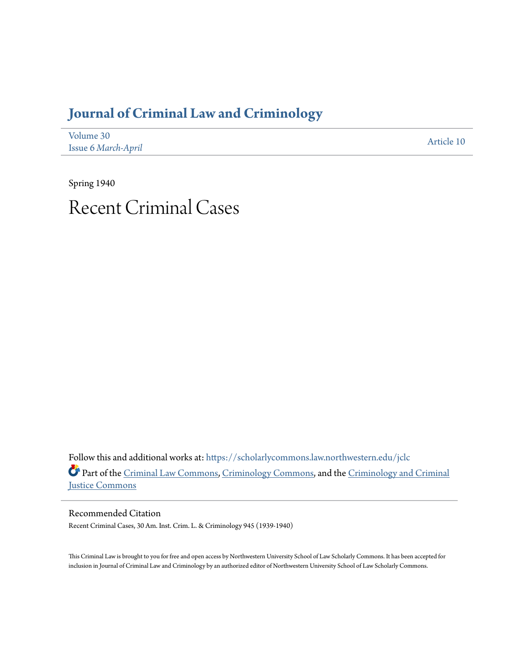# **[Journal of Criminal Law and Criminology](https://scholarlycommons.law.northwestern.edu/jclc?utm_source=scholarlycommons.law.northwestern.edu%2Fjclc%2Fvol30%2Fiss6%2F10&utm_medium=PDF&utm_campaign=PDFCoverPages)**

| Volume 30           | Article 10 |
|---------------------|------------|
| Issue 6 March-April |            |

Spring 1940 Recent Criminal Cases

Follow this and additional works at: [https://scholarlycommons.law.northwestern.edu/jclc](https://scholarlycommons.law.northwestern.edu/jclc?utm_source=scholarlycommons.law.northwestern.edu%2Fjclc%2Fvol30%2Fiss6%2F10&utm_medium=PDF&utm_campaign=PDFCoverPages) Part of the [Criminal Law Commons](http://network.bepress.com/hgg/discipline/912?utm_source=scholarlycommons.law.northwestern.edu%2Fjclc%2Fvol30%2Fiss6%2F10&utm_medium=PDF&utm_campaign=PDFCoverPages), [Criminology Commons](http://network.bepress.com/hgg/discipline/417?utm_source=scholarlycommons.law.northwestern.edu%2Fjclc%2Fvol30%2Fiss6%2F10&utm_medium=PDF&utm_campaign=PDFCoverPages), and the [Criminology and Criminal](http://network.bepress.com/hgg/discipline/367?utm_source=scholarlycommons.law.northwestern.edu%2Fjclc%2Fvol30%2Fiss6%2F10&utm_medium=PDF&utm_campaign=PDFCoverPages) [Justice Commons](http://network.bepress.com/hgg/discipline/367?utm_source=scholarlycommons.law.northwestern.edu%2Fjclc%2Fvol30%2Fiss6%2F10&utm_medium=PDF&utm_campaign=PDFCoverPages)

Recommended Citation Recent Criminal Cases, 30 Am. Inst. Crim. L. & Criminology 945 (1939-1940)

This Criminal Law is brought to you for free and open access by Northwestern University School of Law Scholarly Commons. It has been accepted for inclusion in Journal of Criminal Law and Criminology by an authorized editor of Northwestern University School of Law Scholarly Commons.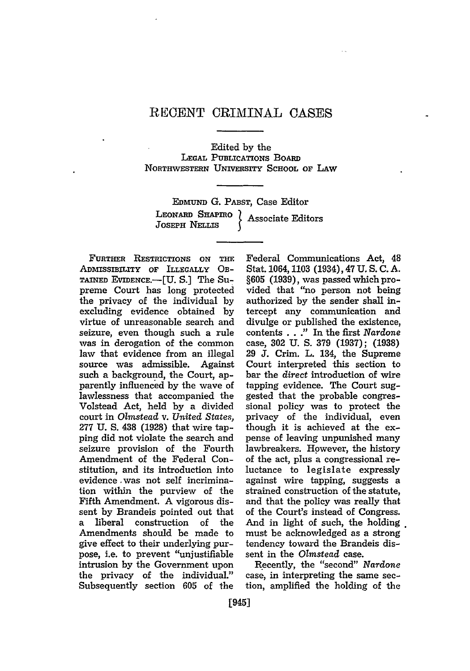## REGENT CRIMINAL CASES

#### Edited by the

#### **LEGAL PUBLICATIONS** BOARD **NORTHWESTERN** UNIvERsrrY **SCHOOL** or LAW

EDMuND **G.** PABST, Case Editor LEONARD **SHAPmio** Associate Editors **JOSEPH** NLmis **I**

**FURTHER RESTRICTIONS ON THE** ADMISSIBILITY **OF** ILLEGALLY **OB-TAINED** EVIDENCE.-[U. S.] The Supreme Court has long protected the privacy of the individual by excluding evidence obtained by virtue of unreasonable search and seizure, even though such a rule was in derogation of the common law that evidence from an illegal source was admissible. Against such a background, the Court, apparently influenced by the wave of lawlessness that accompanied the Volstead Act, held by a divided court in *Olmstead* v. *United States,* 277 U. S. 438 (1928) that wire tapping did not violate the search and seizure provision of the Fourth Amendment of the Federal Constitution, and its introduction into evidence was not self incrimination within the purview of the Fifth Amendment. A vigorous dissent by Brandeis pointed out that a liberal construction of the Amendments should be made to give effect to their underlying purpose, i.e. to prevent "unjustifiable intrusion by the Government upon the privacy of the individual." Subsequently section 605 of the

Federal Communications Act, 48 Stat. 1064,1103 (1934), 47 **U.** S. C. **A.** §605 (1939), was passed which provided that "no person not being authorized by the sender shall intercept any communication and divulge or published the existence, contents . . **."** In the first *Nardone* case, **302** U. **S. 379** (1937); (1938) 29 **J.** Crim. L. 134, the Supreme Court interpreted this section to bar the *direct* introduction of wire tapping evidence. The Court suggested that the probable congressional policy was to protect the privacy of the individual, even though it is achieved at the expense of leaving unpunished many lawbreakers. However, the history of the act, plus a congressional reluctance to legislate expressly against wire tapping, suggests a strained construction of the statute, and that the policy was really that of the Court's instead of Congress. And in light of such, the holding must be acknowledged as a strong tendency toward the Brandeis dissent in the *Olmstead* case.

Recently, the "second" *Nardone* case, in interpreting the same section, amplified the holding of the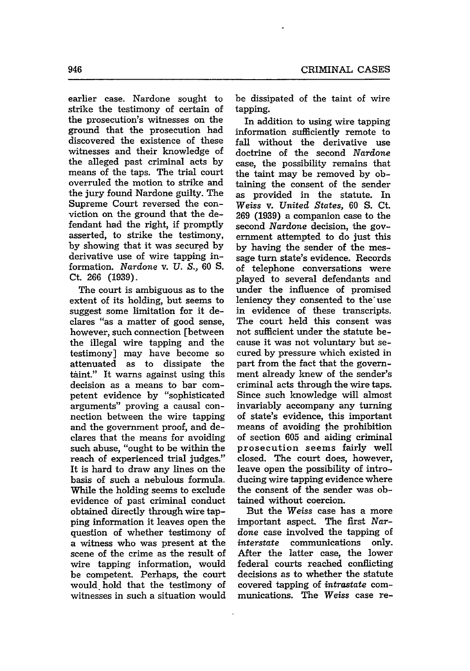earlier case. Nardone sought to strike the testimony of certain of the prosecution's witnesses on the ground that the prosecution had discovered the existence of these witnesses and their knowledge of the alleged past criminal acts by means of the taps. The trial court overruled the motion to strike and the jury found Nardone guilty. The Supreme Court reversed the conviction on the ground that the defendant had the right, if promptly asserted, to strike the testimony, by showing that it was secured by derivative use of wire tapping information. Nardone v. *U. S.,* 60 **S.** Ct. 266 (1939).

The court is ambiguous as to the extent of its holding, but seems to suggest some limitation for it declares "as a matter of good sense, however, such connection [between the illegal wire tapping and the testimony] may have become so attenuated as to dissipate the taint." It warns against using this decision as a means to bar competent evidence by "sophisticated arguments" proving a causal connection between the wire tapping and the government proof, and declares that the means for avoiding such abuse, "ought to be within the reach of experienced trial judges." It is hard to draw any lines on the basis of such a nebulous formula. While the holding seems to exclude evidence of past criminal conduct obtained directly through wire tapping information it leaves open the question of whether testimony of a witness who was present at the scene of the crime as the result of wire tapping information, would be competent. Perhaps, the court would hold that the testimony of witnesses in such a situation would be dissipated of the taint of wire tapping.

In addition to using wire tapping information sufficiently remote to fall without the derivative use doctrine of the second *Nardone* case, the possibility remains that the taint may be removed by obtaining the consent of the sender as provided in the statute. In *Weiss* v. *United States,* **60** S. Ct. 269 (1939) a companion case to the second *Nardone* decision, the government attempted to do just this by having the sender of the message turn state's evidence. Records of telephone conversations were played to several defendants and under the influence of promised leniency they consented to the use in evidence of these transcripts. The court held this consent was not sufficient under the statute because it was not voluntary but secured by pressure which existed in part from the fact that the government already knew of the sender's criminal acts through the wire taps. Since such knowledge will almost invariably accompany any turning of state's evidence, this important means of avoiding the prohibition of section 605 and aiding criminal prosecution seems fairly well closed. The court does, however, leave open the possibility of introducing wire tapping evidence where the consent of the sender was obtained without coercion.

But the *Weiss* case has a more important aspect. The first *Nardone* case involved the tapping of *interstate* communications only. After the latter case, the lower federal courts reached conflicting decisions as to whether the statute covered tapping of *intrastate* communications. The *Weiss* case re-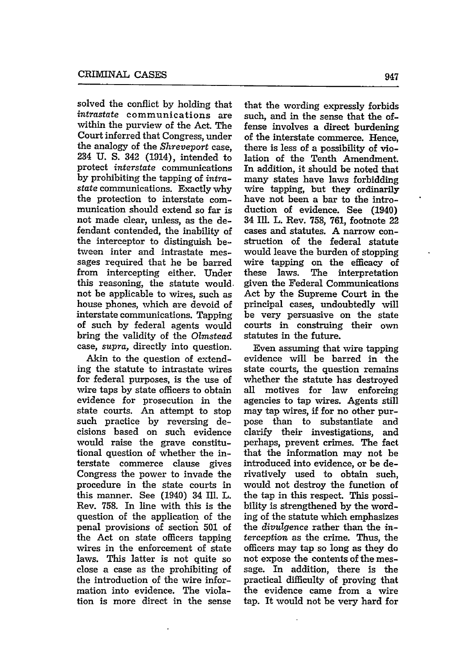solved the conflict **by** holding that *intrastate* communications are within the purview of the Act. The Court inferred that Congress, under the analogy of the *Shreveport* case, 234 U. S. 342 (1914), intended to protect *interstate* communications by prohibiting the tapping of *intrastate* communications. Exactly why the protection to interstate communication should extend so far is not made clear, unless, as the defendant contended, the inability of the interceptor to distinguish between inter and intrastate messages required that he be barred from intercepting either. Under this reasoning, the statute would. not be applicable to wires, such as house phones, which are devoid of interstate communications. Tapping of such by federal agents would bring the validity of the *Olmstead* case, *supra,* directly into question.

Akin to the question of extending the statute to intrastate wires for federal purposes, is the use of wire taps by state officers to obtain evidence for prosecution in the state courts. An attempt to stop such practice by reversing decisions based on such evidence would raise the grave constitutional question of whether the interstate commerce clause gives Congress the power to invade the procedure in the state courts in this manner. See (1940) 34 Ill. L. Rev. 758. In line with this is the question of the application of the penal provisions of section **501** of the Act on state officers tapping wires in the enforcement of state laws. This latter is not quite so close a case as the prohibiting of the introduction of the wire information into evidence. The violation is more direct in the sense

that the wording expressly forbids such, and in the sense that the offense involves a direct burdening of the interstate commerce. Hence, there is less of a possibility of violation of the Tenth Amendment. In addition, it should be noted that many states have laws forbidding wire tapping, but they ordinarily have not been a bar to the introduction of evidence. See (1940) 34 Ill. L. Rev. 758, 761, footnote 22 cases and statutes. A narrow construction of the federal statute would leave the burden of stopping wire tapping on the efficacy of these laws. The interpretation given the Federal Communications Act by the Supreme Court in the principal cases, undoubtedly will be very persuasive on the state courts in construing their own statutes in the future.

Even assuming that wire tapping evidence will be barred in the state courts, the question remains whether the statute has destroyed all motives for **law** enforcing agencies to tap wires. Agents still may tap wires, if for no other purpose than to substantiate and clarify their investigations, and perhaps, prevent crimes. The fact that the information may not be introduced into evidence, or be derivatively used to obtain such, would not destroy the function of the tap in this respect. This possibility is strengthened by the wording of the statute which emphasizes the *divulgence* rather than the *interception* as the crime. Thus, the officers may tap so long as they do not expose the contents of the message. In addition, there is the practical difficulty of proving that the evidence came from a wire tap. It would not be very hard for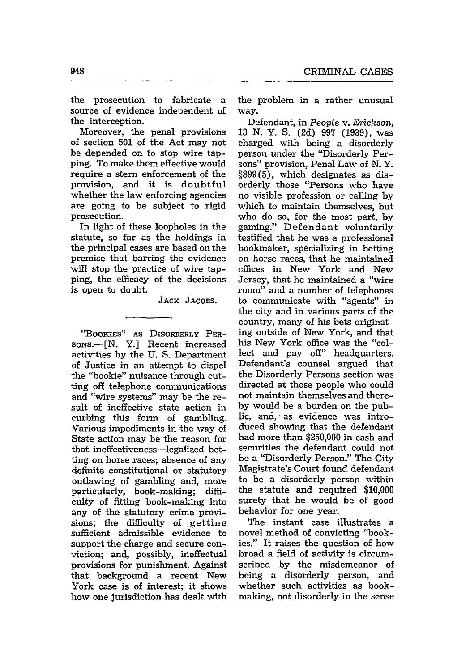the prosecution to fabricate a source of evidence independent of the interception.

Moreover, the penal provisions of section 501 of the Act may not be depended on to stop wire tapping. To make them effective would require a stern enforcement of the provision, and it is doubtful whether the law enforcing agencies are going to be subject to rigid prosecution.

In light of these loopholes in the statute, so far as the holdings in the principal cases are based on the premise that barring the evidence will stop the practice of wire tapping, the efficacy of the decisions is open to doubt.

**JACK JACOBS.**

"BOOKIES" AS DIsoRDERLY PER-**SONS.-[N.** Y.] Recent increased activities by the U. **S.** Department of Justice in an attempt to dispel the "bookie" nuisance through cutting off telephone communications and "wire systems" may be the result of ineffective state action in curbing this form of gambling. Various impediments in the way of State action may be the reason for that ineffectiveness-legalized betting on horse races; absence of any definite constitutional or statutory outlawing of gambling and, more particularly, book-making; difficulty of fitting book-making into any of the statutory crime provisions; the difficulty of getting sufficient admissible evidence to support the charge and secure conviction; and, possibly, ineffectual provisions for punishment. Against that background a recent New York case is of interest; it shows how one jurisdiction has dealt with the problem in a rather unusual way.

Defendant, in *People* v. Erickson, 13 N. Y. S. (2d) 997 (1939), was charged with being a disorderly person under the "Disorderly Persons" provision, Penal Law of N. Y. §899(5), which designates as disorderly those "Persons who have no visible profession or calling by which to maintain themselves, but who do so, for the most part, by gaming." Defendant voluntarily testified that he was a professional bookmaker, specializing in betting on horse races, that he maintained offices in New York and New Jersey, that he maintained a "wire room" and a number of telephones to communicate with "agents" in the city and in various parts of the country, many of his bets originating outside of New York, and that his New York office was the "collect and pay off" headquarters. Defendant's counsel argued that the Disorderly Persons section was directed at those people who could not maintain themselves and thereby would be a burden on the public, and, as evidence was introduced showing that the defendant had more than \$250,000 in cash and securities the defendant could not be a "Disorderly Person." The City Magistrate's Court found defendant to be a disorderly person within the statute and required \$10,000 surety that he would be of good behavior for one year.

The instant case illustrates a novel method of convicting "bookies." It raises the question of how broad a field of activity is circumscribed by the misdemeanor of being a disorderly person, and whether such activities as bookmaking, not disorderly in the sense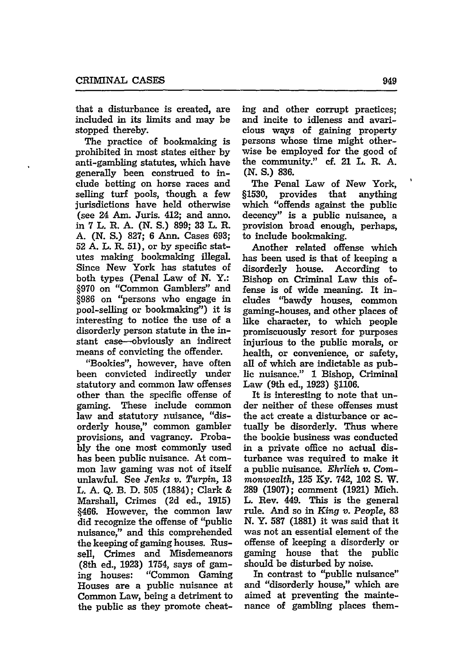that a disturbance is created, are included in its limits and may be stopped thereby.

The practice of bookmaking is prohibited in most states either by anti-gambling statutes, which have generally been construed to include betting on horse races and selling turf pools, though a few jurisdictions have held otherwise (see 24 Am. Juris. 412; and anno. in **7** L. R. **A. (N. S.) 899; 33** L. R. A. **(N.** *S.)* 827; 6 Ann. Cases 693; **52** A. L. R. 51), or by specific statutes making bookmaking illegal. Since New York has statutes of both types (Penal Law of **N.** Y.: §970 on "Common Gamblers" and §986 on "persons who engage in pool-selling or bookmaking") it is interesting to notice the use of a disorderly person statute in the instant case--obviously an indirect means of convicting the offender.

"Bookies", however, have often been convicted indirectly under statutory and common law offenses other than the specific offense of gaming. These include common law and statutory nuisance, "disorderly house," common gambler provisions, and vagrancy. Proba**bly** the one most commonly used has been public nuisance. At common law gaming was not of itself unlawful. See *Jenks v. Turpin,* 13 L. A. Q. B. D. **505** (1884); Clark & Marshall, Crimes (2d ed., **1915)** §466. However, the common law did recognize the offense of "public nuisance," and this comprehended the keeping of gaming houses. Russell, Crimes and Misdemeanors (8th ed., 1923) 1754, says of gaming houses: "Common Gaming Houses are a public nuisance at Common Law, being a detriment to the public as they promote cheat-

ing and other corrupt practices; and incite to idleness and avaricious ways of gaining property persons whose time might otherwise be employed for the good of the community." cf. 21 L. R. A. **(N.** *S.)* **836.**

The Penal Law of New York, §1530, provides that anything which "offends against the public decency" is a public nuisance, a provision broad enough, perhaps, to include bookmaking.

Another related offense which has been used is that of keeping a disorderly house. According to Bishop on Criminal Law this offense is of wide meaning. It includes "bawdy houses, common gaming-houses, and other places of like character, to which people promiscuously resort for purposes injurious to the public morals, or health, or convenience, or safety, all of which are indictable as public nuisance." **1** Bishop, Criminal Law (9th ed., 1923) §1106.

It is interesting to note that under neither of these offenses must the act create a disturbance or actually be disorderly. Thus where the bookie business was conducted in a private office no actual disturbance was required to make it a public nuisance. *Ehrlich v. Commonwealth,* 125 **Ky.** 742, 102 **S.** W. 289 (1907); comment (1921) Mich. L. Rev. 449. This is the general rule. And so in *King v. People,* 83 **N.** Y. **587** (1881) it was said that it was not an essential element of the offense of keeping a disorderly or gaming house that the public should be disturbed by noise.

In contrast to "public nuisance" and "disorderly house," which are aimed at preventing the maintenance of gambling places them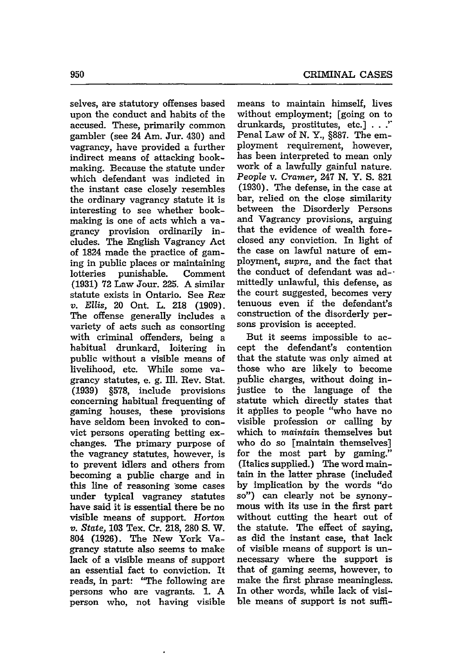selves, are statutory offenses based upon the conduct and habits of the accused. These, primarily common gambler (see 24 Am. Jur. 430) and vagrancy, have provided a further indirect means of attacking bookmaking. Because the statute under which defendant was indicted in the instant case closely resembles the ordinary vagrancy statute it is interesting to see whether bookmaking is one of acts which a vagrancy provision ordinarily includes. The English Vagrancy Act of 1824 made the practice of gaming in public places or maintaining lotteries punishable. Comment **(1931) 72** Law Jour. **225.** A similar statute exists in Ontario. See Rex *v. Ellis,* 20 Ont. L. **218 (1909).** The offense generally includes a variety of acts such as consorting with criminal offenders, being a habitual drunkard, loitering in public without a visible means of livelihood, etc. While some vagrancy statutes, e. **g.** Ill. Rev. Stat. **(1939) §578,** include provisions concerning habitual frequenting of gaming houses, these provisions have seldom been invoked to convict persons operating betting exchanges. The primary purpose of the vagrancy statutes, however, is to prevent idlers and others from becoming a public charge and in this line of reasoning 'some cases under typical vagrancy statutes have said it is essential there be no visible means of support. Horton *v. State,* **103** Tex. Cr. **218, 280 S.** W. 804 **(1926).** The New York Vagrancy statute also seems to make lack of a visible means of support an essential fact to conviction. It reads, in part: "The following are persons who are vagrants. **1. A** person who, not having visible means to maintain himself, lives without employment; [going on to drunkards, prostitutes, etc.] **... '** Penal Law of **N.** Y., **§887.** The employment requirement, however, has been interpreted to mean only work of a lawfully gainful nature. *People* v. *Cramer,* 247 **N.** Y. **S. 821 (1930).** The defense, in the case at bar, relied on the close similarity between the Disorderly Persons and Vagrancy provisions, arguing that the evidence of wealth foreclosed any conviction. In light of the case on lawful nature of employment, *supra,* and the fact that the conduct of defendant was ad- mittedly unlawful, this defense, as the court suggested, becomes very tenuous even if the defendant's construction of the disorderly persons provision is accepted.

But it seems impossible to accept the defendant's contention that the statute was only aimed at those who are likely to become public charges, without doing injustice to the language of the statute which directly states that it applies to people "who have no visible profession or calling **by** which to *maintain* themselves but who do so [maintain themselves] for the most part by gaming." (Italics supplied.) The word maintain in the latter phrase (included by implication by the words "do so") can clearly not be synonymous with its use in the first part without cutting the heart out of the statute. The effect of saying, as did the instant case, that lack of visible means of support is unnecessary where the support is that of gaming seems, however, to make the first phrase meaningless. In other words, while lack of visible means of support is not suffi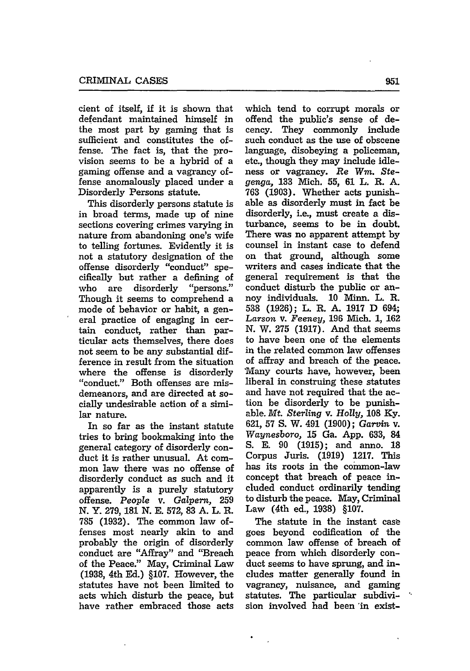cient of itself, if it is shown that defendant maintained himself in the most part **by** gaming that is sufficient and constitutes the offense. The fact is, that the provision seems to be a hybrid of a gaming offense and a vagrancy offense anomalously placed under a Disorderly Persons statute.

This disorderly persons statute is in broad terms, made up of nine sections covering crimes varying in nature from abandoning one's wife to telling fortunes. Evidently it is not a statutory designation of the offense disorderly "conduct" specifically but rather a defining of who are disorderly "persons." Though it seems to comprehend a mode of behavior or habit, a general practice of engaging in certain conduct, rather than particular acts themselves, there does not seem to be any substantial difference in result from the situation where the offense is disorderly "conduct." Both offenses are misdemeanors, and are directed at socially undesirable action of a similar nature.

In so far as the instant statute tries to bring bookmaking into the general category of disorderly conduct it is rather unusual. At common law there was no offense of disorderly conduct as such and it apparently is a purely statutory offense. *People* v. *Galpern,* **259 N.** Y. 279, **181** N. E. 572, **83** A. L. R. **785** (1932). The common law offenses most nearly akin to and probably the origin of disorderly conduct are "Affray" and "Breach of the Peace." May, Criminal Law (1938, 4th Ed.) §107. However, the statutes have not been limited to acts which disturb the peace, but have rather embraced those acts

which tend to corrupt morals or offend the public's sense of decency. They commonly include such conduct as the use of obscene language, disobeying a policeman, etc., though they may include idleness or vagrancy. *Re Win.* Ste*genga,* 133 Mich. **55,** 61 L. R. A. 763 (1903). Whether acts punishable as disorderly must in fact be disorderly, i.e., must create a disturbance, seems to be in doubt. There was no apparent attempt by counsel in instant case to defend on that ground, although some writers and cases indicate that the general requirement is that the conduct disturb the public or annoy individuals. **10** Minn. L. R. 538 (1926); L. R. A. 1917 D 694; *Larson* v. *Feeney,* **196** Mich. 1, 162 **N.** W. **275** (1917). And that seems to have been one of the elements in the related common law offenses of affray and breach of the peace. Many courts have, however, been liberal in construing these statutes and have not required that the action be disorderly to be punishable. *Mt. Sterling* v. *Holly,* **108** Ky. 621, **57** S. W. 491 (1900); *Garvin* v. *Waynesboro,* **15** Ga. App. 633, 84 **S.** E. **90 (1915);** and anno. **18** Corpus Juris. (1919) 1217. This has its roots in the common-law concept that breach of peace included conduct ordinarily tending to disturb the peace. May, Criminal Law (4th ed., 1938) §107.

The statute in the instant case goes beyond codification of the common law offense of breach of peace from which disorderly conduct seems to have sprung, and includes matter generally found in vagrancy, nuisance, and gaming statutes. The particular subdivision involved had been 'in exist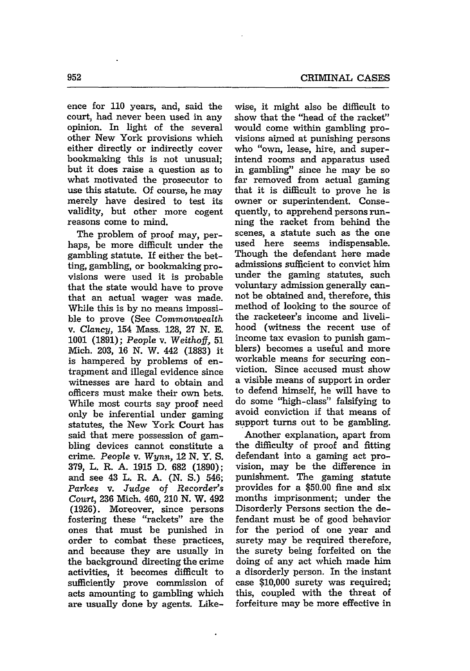ence for **110** years, and, said the court, had never been used in any opinion. In light of the several other New York provisions which either directly or indirectly cover bookmaking this is not unusual; but it does raise a question as to what motivated the prosecutor to use this statute. Of course, he may merely have desired to test its validity, but other more cogent reasons come to mind.

The problem of proof may, perhaps, be more difficult under the gambling statute. If either the betting, gambling, or bookmaking provisions were used it is probable that the state would have to prove that an actual wager was made. While this is by no means impossible to prove (See *Commonwealth* v. *Clancy,* 154 Mass. 128, 27 **N.** E. 1001 (1891); *People* v. *Weithoff,* **51** Mich. 203, **16** N. W. 442 (1883) it is hampered by problems of entrapment and illegal evidence since witnesses are hard to obtain and officers must make their own bets. While most courts say proof need only be inferential under gaming statutes, the New York Court has said that mere possession of gambling devices cannot constitute a crime. *People* v. *Wynn,* 12 **N.** Y. S. 379, L. R. A. 1915 D. 682 (1890); and see 43 L. R. A. **(N.** *S.)* 546; *Parkes* v. *Judge of Recorder's Court,* 236 Mich. 460, 210 **N.** W. 492 (1926). Moreover, since persons fostering these "rackets" are the ones that must be punished in order to combat these practices, and because they are usually in the background directing the crime activities, it becomes difficult to sufficiently prove commission of acts amounting to gambling which are usually done by agents. Like-

 $\ddot{\phantom{0}}$ 

wise, it might also be difficult to show that the "head of the racket" would come within gambling provisions aimed at punishing persons who "own, lease, hire, and superintend rooms and apparatus used in gambling" since he may be so far removed from actual gaming that it is difficult to prove he is owner or superintendent. Consequently, to apprehend persons running the racket from behind the scenes, a statute such as the one used here seems indispensable. Though the defendant here made admissions sufficient to convict him under the gaming statutes, such voluntary admission generally cannot be obtained and, therefore, this method of looking to the source of the racketeer's income and livelihood (witness the recent use of income tax evasion to punish gamblers) becomes a useful and more workable means for securing conviction. Since accused must show a visible means of support in order to defend himself, he will have to do some "high-class" falsifying to avoid conviction if that means of support turns out to be gambling.

Another explanation, apart from the difficulty of proof and fitting defendant into a gaming act provision, may be the difference in punishment. The gaming statute provides for a \$50.00 fine and six months imprisonment; under the Disorderly Persons section the defendant must be of good behavior for the period of one year and surety may be required therefore, the surety being forfeited on the doing of any act which made him a disorderly person. In the instant case \$10,000 surety was required; this, coupled with the threat of forfeiture may be more effective in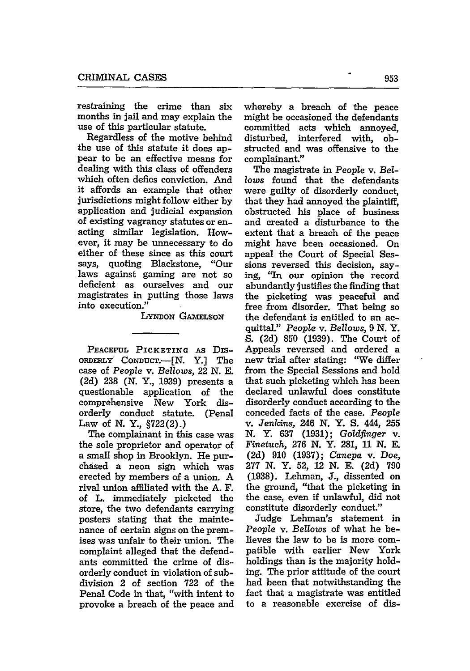restraining the crime than six months in jail and may explain the use of this particular statute.

Regardless of the motive behind the use of this statute it does appear to be an effective means for dealing with this class of offenders which often defies conviction. And it affords an example that other jurisdictions might follow either by application and judicial expansion of existing vagrancy statutes or enacting similar legislation. However, it may be unnecessary to do either of these since as this court says, quoting Blackstone, "Our laws against gaming are not so deficient as ourselves and our magistrates in putting those laws into execution."

LYNDON GAMELSON

**PEACEFUL** PICKETING AS DisoRDERLY" CoNDUcT.-[N. Y.] The case of People v. *Bellows,* 22 N. E. (2d) **238** (N. Y., **1939)** presents a questionable application of the comprehensive New York disorderly conduct statute. (Penal Law of N. Y., §722(2).)

The complainant in this case was the sole proprietor and operator of a small shop in Brooklyn. He purchased a neon sign which was erected by members of a union. A rival union affiliated with the A. F. of L. immediately picketed the store, the two defendants carrying posters stating that the maintenance of certain signs on the premises was unfair to their union. The complaint alleged that the defendants committed the crime of disorderly conduct in violation of subdivision 2 of section 722 of the Penal Code in that, "with intent to provoke a breach of the peace and

whereby a breach of the peace might be occasioned the defendants committed acts which annoyed, disturbed, interfered with, obstructed and was offensive to the complainant."

The magistrate in People v. *Bellows* found that the defendants were guilty of disorderly conduct, that they had annoyed the plaintiff, obstructed his place of business and created a disturbance to the extent that a breach of the peace might have been occasioned. On appeal the Court of Special Sessions reversed this decision, saying, "In our opinion the record abundantly justifies the finding that the picketing was peaceful and free from disorder. That being so the defendant is entitled to an acquittal." People v. *Bellows,* 9 *N.* Y. S. (2d) 850 (1939). The Court of Appeals reversed and ordered a new trial after stating: "We differ from the Special Sessions and hold that such picketing which has been declared unlawful does constitute disorderly conduct according to the conceded facts of the case. People v. *Jenkins,* 246 **N.** Y. **S.** 444, **255 N.** Y. 637 (1931); *Goldfinger* v. *Finetuch,* 276 N. Y. 281, **11** N. **E.** (2d) 910 (1937); *Canepa* v. *Doe,* 277 N. Y. 52, 12 N. E. (2d) 790 (1938). Lehman, **J.,** dissented on the ground, "that the picketing in the case, even if unlawful, did not constitute disorderly conduct."

Judge Lehman's statement in *People* v. *Bellows* of what he believes the law to be is more compatible with earlier New York holdings than is the majority holding. The prior attitude of the court had been that notwithstanding the fact that a magistrate was entitled to a reasonable exercise of dis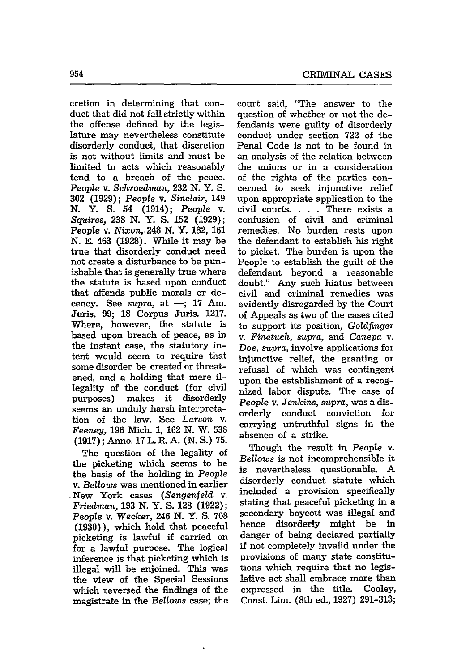cretion in determining that conduct that did not fall strictly within the offense defined by the legislature may nevertheless constitute disorderly conduct, that discretion is not without limits and must be limited to acts which reasonably tend to a breach of the peace. *People* v. *Schroedman,* 232 N. Y. S. **302** (1929); *People* v. *Sinclair,* 149 **N.** Y. **S.** 54 (1914); *People* v. *Squires,* 238 N. Y. S. 152 (1929); *People* v. Nixon,.248 N. Y. **182, 161** N. E. 463 (1928). While it may be true that disorderly conduct need not create a disturbance to be punishable that is generally true where the statute is based upon conduct that offends public morals or decency. See *supra*, at -; 17 Am. Juris. 99; 18 Corpus Juris. **1217.** Where, however, the statute is based upon breach of peace, as in the instant case, the statutory intent would seem to require that some disorder be created or threatened, and a holding that mere illegality of the conduct (for civil purposes) makes it disorderly seems an unduly harsh interpretation of the law. See *Larson* v. *Feeney,* 196 Mich. 1, 162 N. W. **538** (1917); Anno. 17 L. R. A. (N. **S.)** 75.

The question of the legality of the picketing which seems to be the basis of the holding in *People* v. *Bellows* was mentioned in earlier New York cases *(Sengenfeld* v. *Friedman,* **193 N.** Y. S. 128 (1922); *People* v. *Wecker,* 246 N. Y. **S.** 708 (1930)), which hold that peaceful picketing is lawful if carried on for a lawful purpose. The logical inference is that picketing which is illegal will be enjoined. This was the view of the Special Sessions which reversed the findings of the magistrate in the *Bellows* case; the

court said, "The answer to the question of whether or not the defendants were guilty of disorderly conduct under section 722 of the Penal Code is not to be found in an analysis of the relation between the unions or in a consideration of the rights of the parties concerned to seek injunctive relief upon appropriate application to the civil courts. . **.** . There exists a confusion of civil and criminal remedies. No burden rests upon the defendant to establish his right to picket. The burden is upon the People to establish the guilt of the defendant beyond a reasonable doubt." Any such hiatus between civil and criminal remedies was evidently disregarded by the Court of Appeals as two of the cases cited to support its position, *Goldfinger* v. *Finetuch, supra,* and *Canepa* v. *Doe, supra,* involve applications for injunctive relief, the granting or refusal of which was contingent upon the establishment of a recognized labor dispute. The case of *People* v. *Jenkins, supra,* was a disorderly conduct conviction for carrying untruthful signs in the absence of a strike.

Though the result in *People* v. *Bellows* is not incomprehensible it is nevertheless questionable. A disorderly conduct statute which included a provision specifically stating that peaceful picketing in a secondary boycott was illegal and hence disorderly might be in danger of being declared partially if not completely invalid under the provisions of many state constitutions which require that no legislative act shall embrace more than expressed in the title. Cooley, Const. Lim. (8th ed., 1927) 291-313;